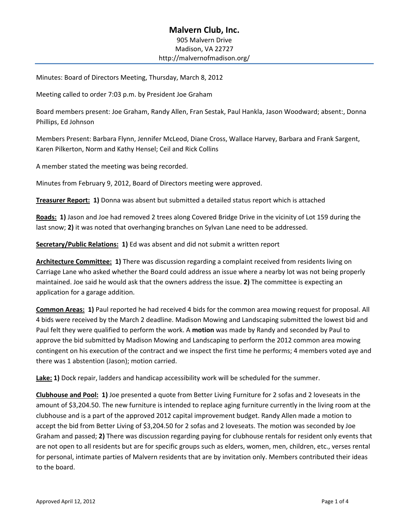# **Malvern Club, Inc.**  905 Malvern Drive Madison, VA 22727 http://malvernofmadison.org/

Minutes: Board of Directors Meeting, Thursday, March 8, 2012

Meeting called to order 7:03 p.m. by President Joe Graham

Board members present: Joe Graham, Randy Allen, Fran Sestak, Paul Hankla, Jason Woodward; absent:, Donna Phillips, Ed Johnson

Members Present: Barbara Flynn, Jennifer McLeod, Diane Cross, Wallace Harvey, Barbara and Frank Sargent, Karen Pilkerton, Norm and Kathy Hensel; Ceil and Rick Collins

A member stated the meeting was being recorded.

Minutes from February 9, 2012, Board of Directors meeting were approved.

**Treasurer Report: 1)** Donna was absent but submitted a detailed status report which is attached

**Roads: 1)** Jason and Joe had removed 2 trees along Covered Bridge Drive in the vicinity of Lot 159 during the last snow; **2)** it was noted that overhanging branches on Sylvan Lane need to be addressed.

**Secretary/Public Relations: 1)** Ed was absent and did not submit a written report

**Architecture Committee: 1)** There was discussion regarding a complaint received from residents living on Carriage Lane who asked whether the Board could address an issue where a nearby lot was not being properly maintained. Joe said he would ask that the owners address the issue. **2)** The committee is expecting an application for a garage addition.

**Common Areas: 1)** Paul reported he had received 4 bids for the common area mowing request for proposal. All 4 bids were received by the March 2 deadline. Madison Mowing and Landscaping submitted the lowest bid and Paul felt they were qualified to perform the work. A **motion** was made by Randy and seconded by Paul to approve the bid submitted by Madison Mowing and Landscaping to perform the 2012 common area mowing contingent on his execution of the contract and we inspect the first time he performs; 4 members voted aye and there was 1 abstention (Jason); motion carried.

**Lake: 1)** Dock repair, ladders and handicap accessibility work will be scheduled for the summer.

**Clubhouse and Pool: 1)** Joe presented a quote from Better Living Furniture for 2 sofas and 2 loveseats in the amount of \$3,204.50. The new furniture is intended to replace aging furniture currently in the living room at the clubhouse and is a part of the approved 2012 capital improvement budget. Randy Allen made a motion to accept the bid from Better Living of \$3,204.50 for 2 sofas and 2 loveseats. The motion was seconded by Joe Graham and passed; **2)** There was discussion regarding paying for clubhouse rentals for resident only events that are not open to all residents but are for specific groups such as elders, women, men, children, etc., verses rental for personal, intimate parties of Malvern residents that are by invitation only. Members contributed their ideas to the board.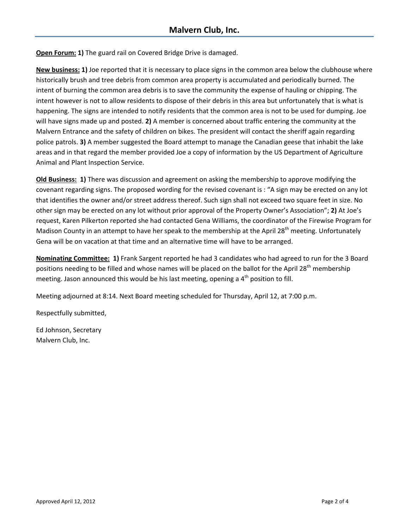**Open Forum: 1)** The guard rail on Covered Bridge Drive is damaged.

**New business: 1)** Joe reported that it is necessary to place signs in the common area below the clubhouse where historically brush and tree debris from common area property is accumulated and periodically burned. The intent of burning the common area debris is to save the community the expense of hauling or chipping. The intent however is not to allow residents to dispose of their debris in this area but unfortunately that is what is happening. The signs are intended to notify residents that the common area is not to be used for dumping. Joe will have signs made up and posted. **2)** A member is concerned about traffic entering the community at the Malvern Entrance and the safety of children on bikes. The president will contact the sheriff again regarding police patrols. **3)** A member suggested the Board attempt to manage the Canadian geese that inhabit the lake areas and in that regard the member provided Joe a copy of information by the US Department of Agriculture Animal and Plant Inspection Service.

**Old Business: 1)** There was discussion and agreement on asking the membership to approve modifying the covenant regarding signs. The proposed wording for the revised covenant is : "A sign may be erected on any lot that identifies the owner and/or street address thereof. Such sign shall not exceed two square feet in size. No other sign may be erected on any lot without prior approval of the Property Owner's Association"; **2)** At Joe's request, Karen Pilkerton reported she had contacted Gena Williams, the coordinator of the Firewise Program for Madison County in an attempt to have her speak to the membership at the April 28<sup>th</sup> meeting. Unfortunately Gena will be on vacation at that time and an alternative time will have to be arranged.

**Nominating Committee: 1)** Frank Sargent reported he had 3 candidates who had agreed to run for the 3 Board positions needing to be filled and whose names will be placed on the ballot for the April 28<sup>th</sup> membership meeting. Jason announced this would be his last meeting, opening a 4<sup>th</sup> position to fill.

Meeting adjourned at 8:14. Next Board meeting scheduled for Thursday, April 12, at 7:00 p.m.

Respectfully submitted,

Ed Johnson, Secretary Malvern Club, Inc.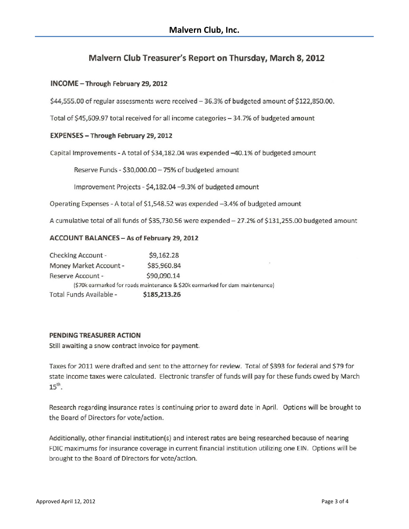# Malvern Club Treasurer's Report on Thursday, March 8, 2012

# INCOME - Through February 29, 2012

\$44,555.00 of regular assessments were received - 36.3% of budgeted amount of \$122,850.00.

Total of \$45,609.97 total received for all income categories - 34.7% of budgeted amount

#### EXPENSES - Through February 29, 2012

Capital Improvements - A total of \$34,182.04 was expended -40.1% of budgeted amount

Reserve Funds - \$30,000.00 - 75% of budgeted amount

Improvement Projects - \$4,182.04 -9.3% of budgeted amount

Operating Expenses - A total of \$1,548.52 was expended -3.4% of budgeted amount

A cumulative total of all funds of \$35,730.56 were expended - 27.2% of \$131,255.00 budgeted amount

#### ACCOUNT BALANCES - As of February 29, 2012

| Checking Account -      | \$9,162.28                                                                    |
|-------------------------|-------------------------------------------------------------------------------|
| Money Market Account -  | \$85,960.84                                                                   |
| Reserve Account -       | \$90,090.14                                                                   |
|                         | (\$70k earmarked for roads maintenance & \$20k earmarked for dam maintenance) |
| Total Funds Available - | \$185,213.26                                                                  |

#### PENDING TREASURER ACTION

Still awaiting a snow contract invoice for payment.

Taxes for 2011 were drafted and sent to the attorney for review. Total of \$393 for federal and \$79 for state income taxes were calculated. Electronic transfer of funds will pay for these funds owed by March  $15<sup>th</sup>$ .

Research regarding insurance rates is continuing prior to award date in April. Options will be brought to the Board of Directors for vote/action.

Additionally, other financial institution(s) and interest rates are being researched because of nearing FDIC maximums for insurance coverage in current financial institution utilizing one EIN. Options will be brought to the Board of Directors for vote/action.